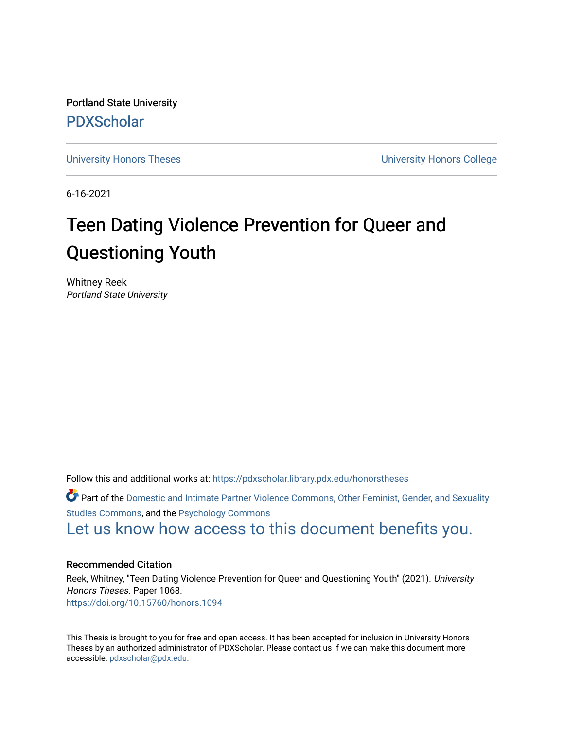Portland State University [PDXScholar](https://pdxscholar.library.pdx.edu/)

[University Honors Theses](https://pdxscholar.library.pdx.edu/honorstheses) **University Honors College** 

6-16-2021

# Teen Dating Violence Prevention for Queer and Questioning Youth

Whitney Reek Portland State University

Follow this and additional works at: [https://pdxscholar.library.pdx.edu/honorstheses](https://pdxscholar.library.pdx.edu/honorstheses?utm_source=pdxscholar.library.pdx.edu%2Fhonorstheses%2F1068&utm_medium=PDF&utm_campaign=PDFCoverPages) 

Part of the [Domestic and Intimate Partner Violence Commons](http://network.bepress.com/hgg/discipline/1309?utm_source=pdxscholar.library.pdx.edu%2Fhonorstheses%2F1068&utm_medium=PDF&utm_campaign=PDFCoverPages), [Other Feminist, Gender, and Sexuality](http://network.bepress.com/hgg/discipline/562?utm_source=pdxscholar.library.pdx.edu%2Fhonorstheses%2F1068&utm_medium=PDF&utm_campaign=PDFCoverPages) [Studies Commons,](http://network.bepress.com/hgg/discipline/562?utm_source=pdxscholar.library.pdx.edu%2Fhonorstheses%2F1068&utm_medium=PDF&utm_campaign=PDFCoverPages) and the [Psychology Commons](http://network.bepress.com/hgg/discipline/404?utm_source=pdxscholar.library.pdx.edu%2Fhonorstheses%2F1068&utm_medium=PDF&utm_campaign=PDFCoverPages) 

[Let us know how access to this document benefits you.](http://library.pdx.edu/services/pdxscholar-services/pdxscholar-feedback/) 

#### Recommended Citation

Reek, Whitney, "Teen Dating Violence Prevention for Queer and Questioning Youth" (2021). University Honors Theses. Paper 1068. <https://doi.org/10.15760/honors.1094>

This Thesis is brought to you for free and open access. It has been accepted for inclusion in University Honors Theses by an authorized administrator of PDXScholar. Please contact us if we can make this document more accessible: [pdxscholar@pdx.edu.](mailto:pdxscholar@pdx.edu)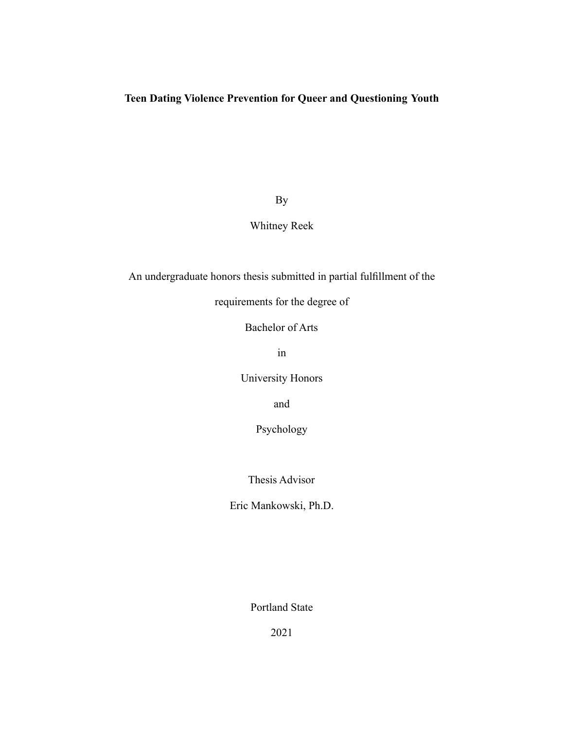# **Teen Dating Violence Prevention for Queer and Questioning Youth**

By

# Whitney Reek

An undergraduate honors thesis submitted in partial fulfillment of the

requirements for the degree of

Bachelor of Arts

in

University Honors

and

Psychology

Thesis Advisor

Eric Mankowski, Ph.D.

Portland State

2021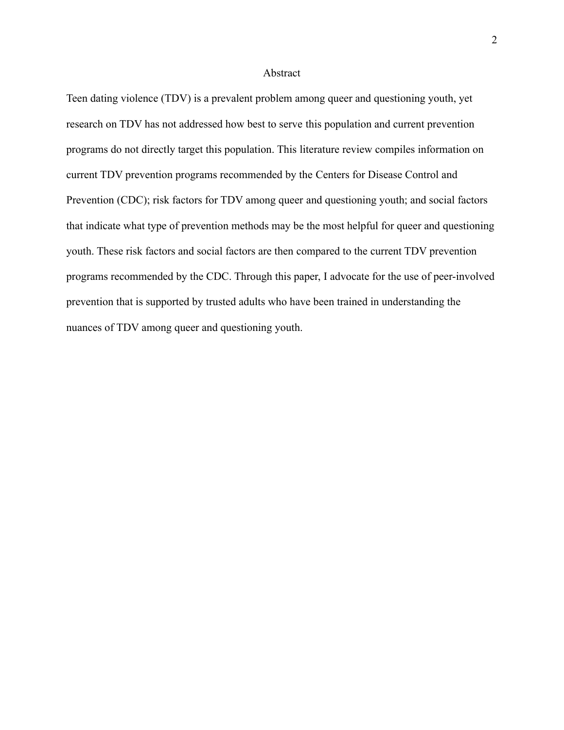#### Abstract

Teen dating violence (TDV) is a prevalent problem among queer and questioning youth, yet research on TDV has not addressed how best to serve this population and current prevention programs do not directly target this population. This literature review compiles information on current TDV prevention programs recommended by the Centers for Disease Control and Prevention (CDC); risk factors for TDV among queer and questioning youth; and social factors that indicate what type of prevention methods may be the most helpful for queer and questioning youth. These risk factors and social factors are then compared to the current TDV prevention programs recommended by the CDC. Through this paper, I advocate for the use of peer-involved prevention that is supported by trusted adults who have been trained in understanding the nuances of TDV among queer and questioning youth.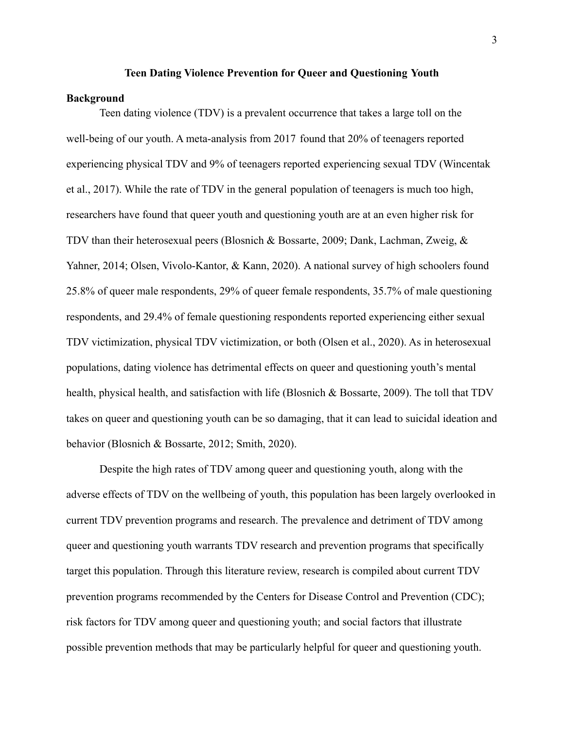#### **Teen Dating Violence Prevention for Queer and Questioning Youth**

#### **Background**

Teen dating violence (TDV) is a prevalent occurrence that takes a large toll on the well-being of our youth. A meta-analysis from 2017 found that 20% of teenagers reported experiencing physical TDV and 9% of teenagers reported experiencing sexual TDV (Wincentak et al., 2017). While the rate of TDV in the general population of teenagers is much too high, researchers have found that queer youth and questioning youth are at an even higher risk for TDV than their heterosexual peers (Blosnich & Bossarte, 2009; Dank, Lachman, Zweig, & Yahner, 2014; Olsen, Vivolo-Kantor, & Kann, 2020). A national survey of high schoolers found 25.8% of queer male respondents, 29% of queer female respondents, 35.7% of male questioning respondents, and 29.4% of female questioning respondents reported experiencing either sexual TDV victimization, physical TDV victimization, or both (Olsen et al., 2020). As in heterosexual populations, dating violence has detrimental effects on queer and questioning youth's mental health, physical health, and satisfaction with life (Blosnich & Bossarte, 2009). The toll that TDV takes on queer and questioning youth can be so damaging, that it can lead to suicidal ideation and behavior (Blosnich & Bossarte, 2012; Smith, 2020).

Despite the high rates of TDV among queer and questioning youth, along with the adverse effects of TDV on the wellbeing of youth, this population has been largely overlooked in current TDV prevention programs and research. The prevalence and detriment of TDV among queer and questioning youth warrants TDV research and prevention programs that specifically target this population. Through this literature review, research is compiled about current TDV prevention programs recommended by the Centers for Disease Control and Prevention (CDC); risk factors for TDV among queer and questioning youth; and social factors that illustrate possible prevention methods that may be particularly helpful for queer and questioning youth.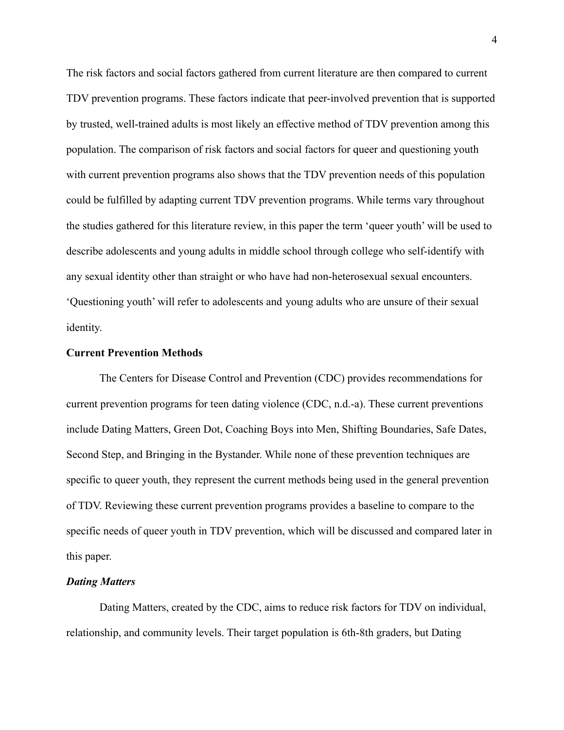The risk factors and social factors gathered from current literature are then compared to current TDV prevention programs. These factors indicate that peer-involved prevention that is supported by trusted, well-trained adults is most likely an effective method of TDV prevention among this population. The comparison of risk factors and social factors for queer and questioning youth with current prevention programs also shows that the TDV prevention needs of this population could be fulfilled by adapting current TDV prevention programs. While terms vary throughout the studies gathered for this literature review, in this paper the term 'queer youth' will be used to describe adolescents and young adults in middle school through college who self-identify with any sexual identity other than straight or who have had non-heterosexual sexual encounters. 'Questioning youth' will refer to adolescents and young adults who are unsure of their sexual identity.

#### **Current Prevention Methods**

The Centers for Disease Control and Prevention (CDC) provides recommendations for current prevention programs for teen dating violence (CDC, n.d.-a). These current preventions include Dating Matters, Green Dot, Coaching Boys into Men, Shifting Boundaries, Safe Dates, Second Step, and Bringing in the Bystander. While none of these prevention techniques are specific to queer youth, they represent the current methods being used in the general prevention of TDV. Reviewing these current prevention programs provides a baseline to compare to the specific needs of queer youth in TDV prevention, which will be discussed and compared later in this paper.

#### *Dating Matters*

Dating Matters, created by the CDC, aims to reduce risk factors for TDV on individual, relationship, and community levels. Their target population is 6th-8th graders, but Dating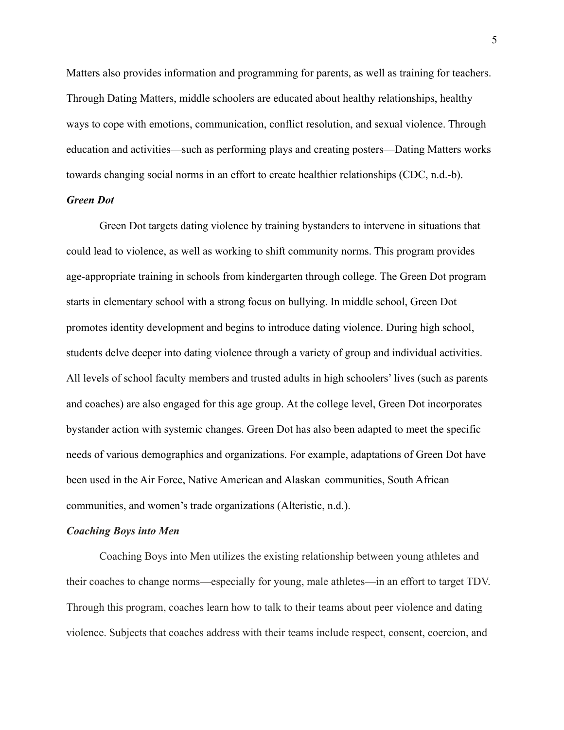Matters also provides information and programming for parents, as well as training for teachers. Through Dating Matters, middle schoolers are educated about healthy relationships, healthy ways to cope with emotions, communication, conflict resolution, and sexual violence. Through education and activities—such as performing plays and creating posters—Dating Matters works towards changing social norms in an effort to create healthier relationships (CDC, n.d.-b).

#### *Green Dot*

Green Dot targets dating violence by training bystanders to intervene in situations that could lead to violence, as well as working to shift community norms. This program provides age-appropriate training in schools from kindergarten through college. The Green Dot program starts in elementary school with a strong focus on bullying. In middle school, Green Dot promotes identity development and begins to introduce dating violence. During high school, students delve deeper into dating violence through a variety of group and individual activities. All levels of school faculty members and trusted adults in high schoolers' lives (such as parents and coaches) are also engaged for this age group. At the college level, Green Dot incorporates bystander action with systemic changes. Green Dot has also been adapted to meet the specific needs of various demographics and organizations. For example, adaptations of Green Dot have been used in the Air Force, Native American and Alaskan communities, South African communities, and women's trade organizations (Alteristic, n.d.).

#### *Coaching Boys into Men*

Coaching Boys into Men utilizes the existing relationship between young athletes and their coaches to change norms—especially for young, male athletes—in an effort to target TDV. Through this program, coaches learn how to talk to their teams about peer violence and dating violence. Subjects that coaches address with their teams include respect, consent, coercion, and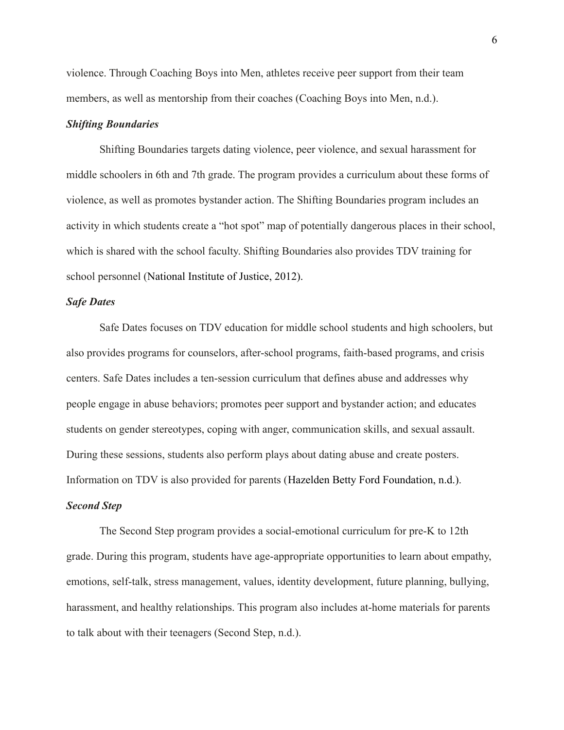violence. Through Coaching Boys into Men, athletes receive peer support from their team members, as well as mentorship from their coaches (Coaching Boys into Men, n.d.).

# *Shifting Boundaries*

Shifting Boundaries targets dating violence, peer violence, and sexual harassment for middle schoolers in 6th and 7th grade. The program provides a curriculum about these forms of violence, as well as promotes bystander action. The Shifting Boundaries program includes an activity in which students create a "hot spot" map of potentially dangerous places in their school, which is shared with the school faculty. Shifting Boundaries also provides TDV training for school personnel (National Institute of Justice, 2012).

# *Safe Dates*

Safe Dates focuses on TDV education for middle school students and high schoolers, but also provides programs for counselors, after-school programs, faith-based programs, and crisis centers. Safe Dates includes a ten-session curriculum that defines abuse and addresses why people engage in abuse behaviors; promotes peer support and bystander action; and educates students on gender stereotypes, coping with anger, communication skills, and sexual assault. During these sessions, students also perform plays about dating abuse and create posters. Information on TDV is also provided for parents (Hazelden Betty Ford Foundation, n.d.).

# *Second Step*

The Second Step program provides a social-emotional curriculum for pre-K to 12th grade. During this program, students have age-appropriate opportunities to learn about empathy, emotions, self-talk, stress management, values, identity development, future planning, bullying, harassment, and healthy relationships. This program also includes at-home materials for parents to talk about with their teenagers (Second Step, n.d.).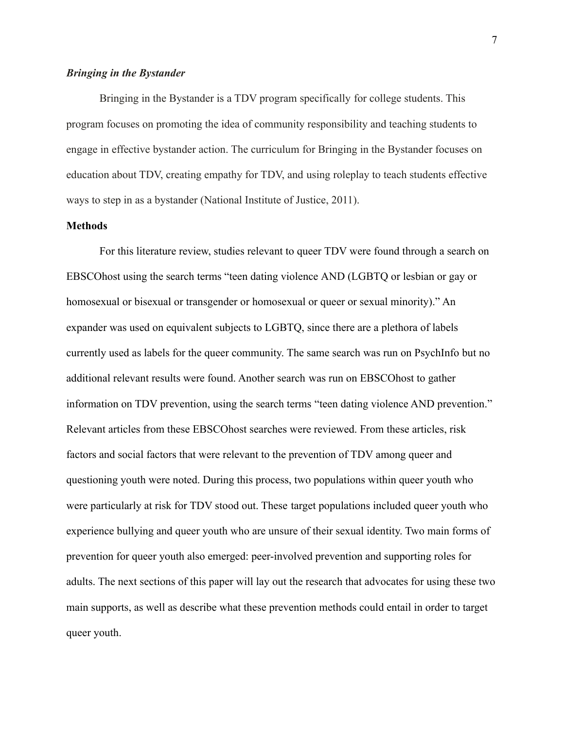#### *Bringing in the Bystander*

Bringing in the Bystander is a TDV program specifically for college students. This program focuses on promoting the idea of community responsibility and teaching students to engage in effective bystander action. The curriculum for Bringing in the Bystander focuses on education about TDV, creating empathy for TDV, and using roleplay to teach students effective ways to step in as a bystander (National Institute of Justice, 2011).

# **Methods**

For this literature review, studies relevant to queer TDV were found through a search on EBSCOhost using the search terms "teen dating violence AND (LGBTQ or lesbian or gay or homosexual or bisexual or transgender or homosexual or queer or sexual minority)." An expander was used on equivalent subjects to LGBTQ, since there are a plethora of labels currently used as labels for the queer community. The same search was run on PsychInfo but no additional relevant results were found. Another search was run on EBSCOhost to gather information on TDV prevention, using the search terms "teen dating violence AND prevention." Relevant articles from these EBSCOhost searches were reviewed. From these articles, risk factors and social factors that were relevant to the prevention of TDV among queer and questioning youth were noted. During this process, two populations within queer youth who were particularly at risk for TDV stood out. These target populations included queer youth who experience bullying and queer youth who are unsure of their sexual identity. Two main forms of prevention for queer youth also emerged: peer-involved prevention and supporting roles for adults. The next sections of this paper will lay out the research that advocates for using these two main supports, as well as describe what these prevention methods could entail in order to target queer youth.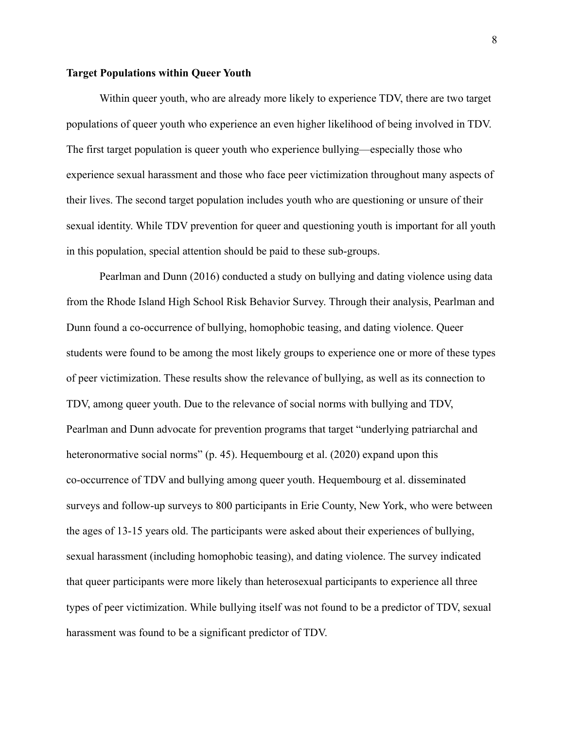#### **Target Populations within Queer Youth**

Within queer youth, who are already more likely to experience TDV, there are two target populations of queer youth who experience an even higher likelihood of being involved in TDV. The first target population is queer youth who experience bullying—especially those who experience sexual harassment and those who face peer victimization throughout many aspects of their lives. The second target population includes youth who are questioning or unsure of their sexual identity. While TDV prevention for queer and questioning youth is important for all youth in this population, special attention should be paid to these sub-groups.

Pearlman and Dunn (2016) conducted a study on bullying and dating violence using data from the Rhode Island High School Risk Behavior Survey. Through their analysis, Pearlman and Dunn found a co-occurrence of bullying, homophobic teasing, and dating violence. Queer students were found to be among the most likely groups to experience one or more of these types of peer victimization. These results show the relevance of bullying, as well as its connection to TDV, among queer youth. Due to the relevance of social norms with bullying and TDV, Pearlman and Dunn advocate for prevention programs that target "underlying patriarchal and heteronormative social norms" (p. 45). Hequembourg et al. (2020) expand upon this co-occurrence of TDV and bullying among queer youth. Hequembourg et al. disseminated surveys and follow-up surveys to 800 participants in Erie County, New York, who were between the ages of 13-15 years old. The participants were asked about their experiences of bullying, sexual harassment (including homophobic teasing), and dating violence. The survey indicated that queer participants were more likely than heterosexual participants to experience all three types of peer victimization. While bullying itself was not found to be a predictor of TDV, sexual harassment was found to be a significant predictor of TDV.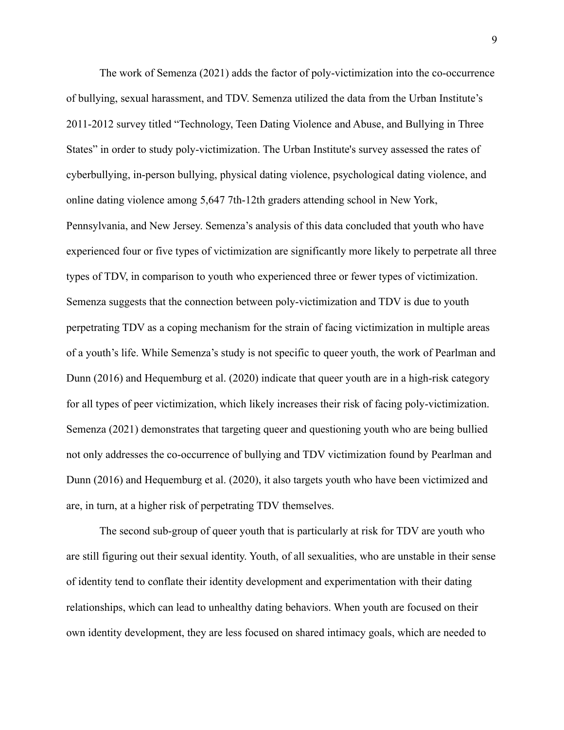The work of Semenza (2021) adds the factor of poly-victimization into the co-occurrence of bullying, sexual harassment, and TDV. Semenza utilized the data from the Urban Institute's 2011-2012 survey titled "Technology, Teen Dating Violence and Abuse, and Bullying in Three States" in order to study poly-victimization. The Urban Institute's survey assessed the rates of cyberbullying, in-person bullying, physical dating violence, psychological dating violence, and online dating violence among 5,647 7th-12th graders attending school in New York, Pennsylvania, and New Jersey. Semenza's analysis of this data concluded that youth who have experienced four or five types of victimization are significantly more likely to perpetrate all three types of TDV, in comparison to youth who experienced three or fewer types of victimization. Semenza suggests that the connection between poly-victimization and TDV is due to youth perpetrating TDV as a coping mechanism for the strain of facing victimization in multiple areas of a youth's life. While Semenza's study is not specific to queer youth, the work of Pearlman and Dunn (2016) and Hequemburg et al. (2020) indicate that queer youth are in a high-risk category for all types of peer victimization, which likely increases their risk of facing poly-victimization. Semenza (2021) demonstrates that targeting queer and questioning youth who are being bullied not only addresses the co-occurrence of bullying and TDV victimization found by Pearlman and Dunn (2016) and Hequemburg et al. (2020), it also targets youth who have been victimized and are, in turn, at a higher risk of perpetrating TDV themselves.

The second sub-group of queer youth that is particularly at risk for TDV are youth who are still figuring out their sexual identity. Youth, of all sexualities, who are unstable in their sense of identity tend to conflate their identity development and experimentation with their dating relationships, which can lead to unhealthy dating behaviors. When youth are focused on their own identity development, they are less focused on shared intimacy goals, which are needed to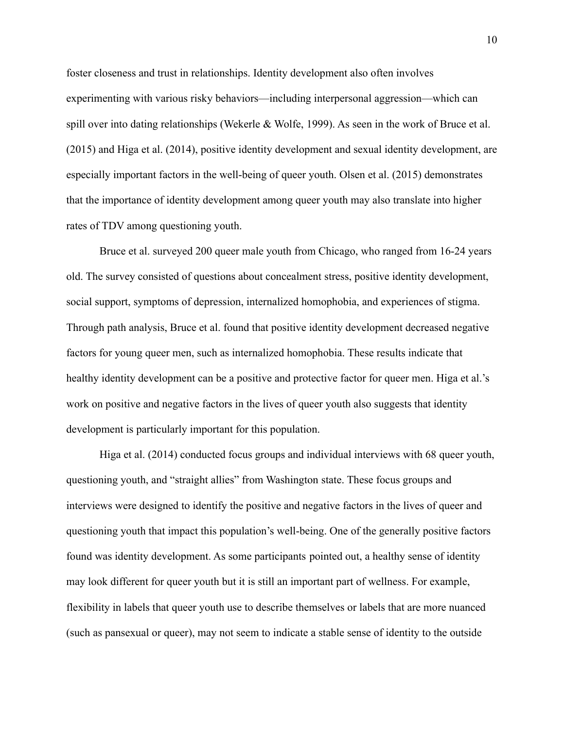foster closeness and trust in relationships. Identity development also often involves experimenting with various risky behaviors—including interpersonal aggression—which can spill over into dating relationships (Wekerle & Wolfe, 1999). As seen in the work of Bruce et al. (2015) and Higa et al. (2014), positive identity development and sexual identity development, are especially important factors in the well-being of queer youth. Olsen et al. (2015) demonstrates that the importance of identity development among queer youth may also translate into higher rates of TDV among questioning youth.

Bruce et al. surveyed 200 queer male youth from Chicago, who ranged from 16-24 years old. The survey consisted of questions about concealment stress, positive identity development, social support, symptoms of depression, internalized homophobia, and experiences of stigma. Through path analysis, Bruce et al. found that positive identity development decreased negative factors for young queer men, such as internalized homophobia. These results indicate that healthy identity development can be a positive and protective factor for queer men. Higa et al.'s work on positive and negative factors in the lives of queer youth also suggests that identity development is particularly important for this population.

Higa et al. (2014) conducted focus groups and individual interviews with 68 queer youth, questioning youth, and "straight allies" from Washington state. These focus groups and interviews were designed to identify the positive and negative factors in the lives of queer and questioning youth that impact this population's well-being. One of the generally positive factors found was identity development. As some participants pointed out, a healthy sense of identity may look different for queer youth but it is still an important part of wellness. For example, flexibility in labels that queer youth use to describe themselves or labels that are more nuanced (such as pansexual or queer), may not seem to indicate a stable sense of identity to the outside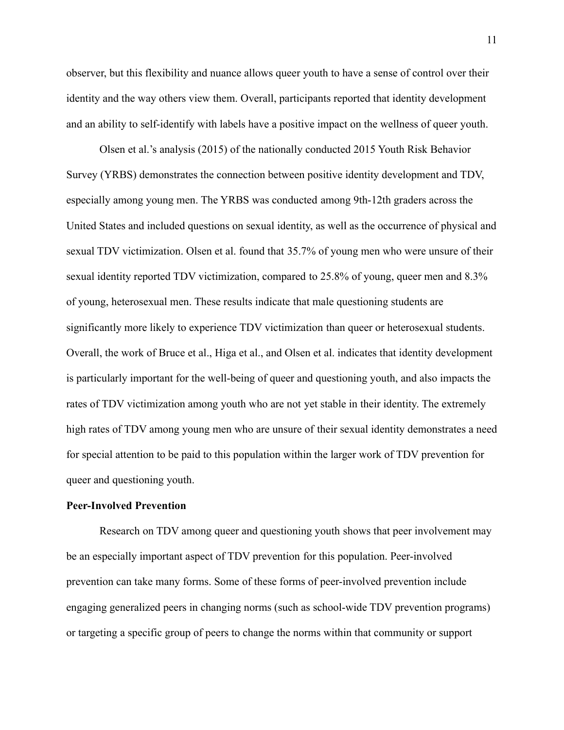observer, but this flexibility and nuance allows queer youth to have a sense of control over their identity and the way others view them. Overall, participants reported that identity development and an ability to self-identify with labels have a positive impact on the wellness of queer youth.

Olsen et al.'s analysis (2015) of the nationally conducted 2015 Youth Risk Behavior Survey (YRBS) demonstrates the connection between positive identity development and TDV, especially among young men. The YRBS was conducted among 9th-12th graders across the United States and included questions on sexual identity, as well as the occurrence of physical and sexual TDV victimization. Olsen et al. found that 35.7% of young men who were unsure of their sexual identity reported TDV victimization, compared to 25.8% of young, queer men and 8.3% of young, heterosexual men. These results indicate that male questioning students are significantly more likely to experience TDV victimization than queer or heterosexual students. Overall, the work of Bruce et al., Higa et al., and Olsen et al. indicates that identity development is particularly important for the well-being of queer and questioning youth, and also impacts the rates of TDV victimization among youth who are not yet stable in their identity. The extremely high rates of TDV among young men who are unsure of their sexual identity demonstrates a need for special attention to be paid to this population within the larger work of TDV prevention for queer and questioning youth.

## **Peer-Involved Prevention**

Research on TDV among queer and questioning youth shows that peer involvement may be an especially important aspect of TDV prevention for this population. Peer-involved prevention can take many forms. Some of these forms of peer-involved prevention include engaging generalized peers in changing norms (such as school-wide TDV prevention programs) or targeting a specific group of peers to change the norms within that community or support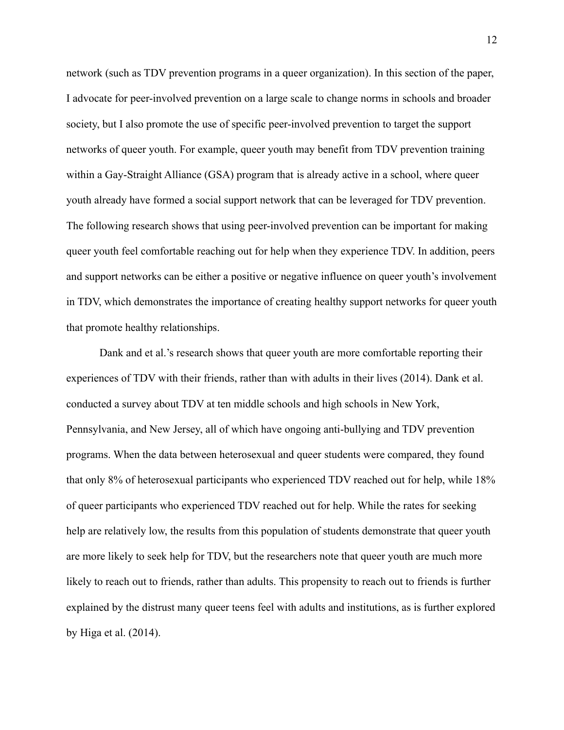network (such as TDV prevention programs in a queer organization). In this section of the paper, I advocate for peer-involved prevention on a large scale to change norms in schools and broader society, but I also promote the use of specific peer-involved prevention to target the support networks of queer youth. For example, queer youth may benefit from TDV prevention training within a Gay-Straight Alliance (GSA) program that is already active in a school, where queer youth already have formed a social support network that can be leveraged for TDV prevention. The following research shows that using peer-involved prevention can be important for making queer youth feel comfortable reaching out for help when they experience TDV. In addition, peers and support networks can be either a positive or negative influence on queer youth's involvement in TDV, which demonstrates the importance of creating healthy support networks for queer youth that promote healthy relationships.

Dank and et al.'s research shows that queer youth are more comfortable reporting their experiences of TDV with their friends, rather than with adults in their lives (2014). Dank et al. conducted a survey about TDV at ten middle schools and high schools in New York, Pennsylvania, and New Jersey, all of which have ongoing anti-bullying and TDV prevention programs. When the data between heterosexual and queer students were compared, they found that only 8% of heterosexual participants who experienced TDV reached out for help, while 18% of queer participants who experienced TDV reached out for help. While the rates for seeking help are relatively low, the results from this population of students demonstrate that queer youth are more likely to seek help for TDV, but the researchers note that queer youth are much more likely to reach out to friends, rather than adults. This propensity to reach out to friends is further explained by the distrust many queer teens feel with adults and institutions, as is further explored by Higa et al. (2014).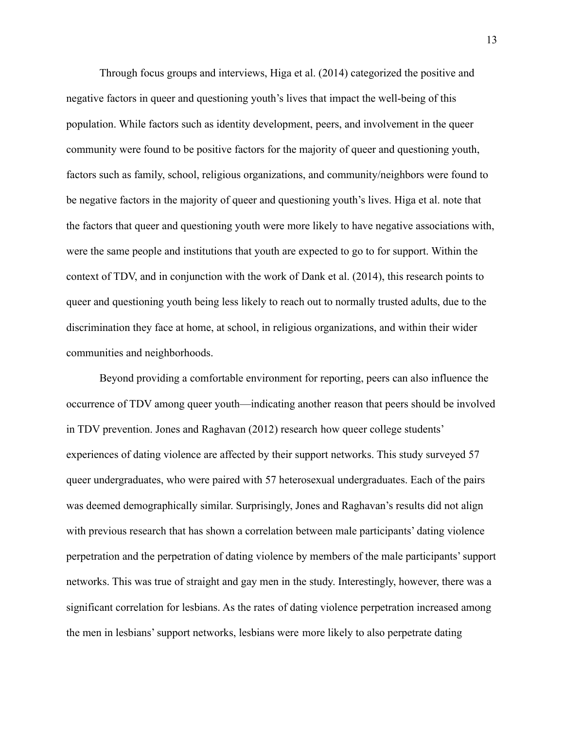Through focus groups and interviews, Higa et al. (2014) categorized the positive and negative factors in queer and questioning youth's lives that impact the well-being of this population. While factors such as identity development, peers, and involvement in the queer community were found to be positive factors for the majority of queer and questioning youth, factors such as family, school, religious organizations, and community/neighbors were found to be negative factors in the majority of queer and questioning youth's lives. Higa et al. note that the factors that queer and questioning youth were more likely to have negative associations with, were the same people and institutions that youth are expected to go to for support. Within the context of TDV, and in conjunction with the work of Dank et al. (2014), this research points to queer and questioning youth being less likely to reach out to normally trusted adults, due to the discrimination they face at home, at school, in religious organizations, and within their wider communities and neighborhoods.

Beyond providing a comfortable environment for reporting, peers can also influence the occurrence of TDV among queer youth—indicating another reason that peers should be involved in TDV prevention. Jones and Raghavan (2012) research how queer college students' experiences of dating violence are affected by their support networks. This study surveyed 57 queer undergraduates, who were paired with 57 heterosexual undergraduates. Each of the pairs was deemed demographically similar. Surprisingly, Jones and Raghavan's results did not align with previous research that has shown a correlation between male participants' dating violence perpetration and the perpetration of dating violence by members of the male participants' support networks. This was true of straight and gay men in the study. Interestingly, however, there was a significant correlation for lesbians. As the rates of dating violence perpetration increased among the men in lesbians' support networks, lesbians were more likely to also perpetrate dating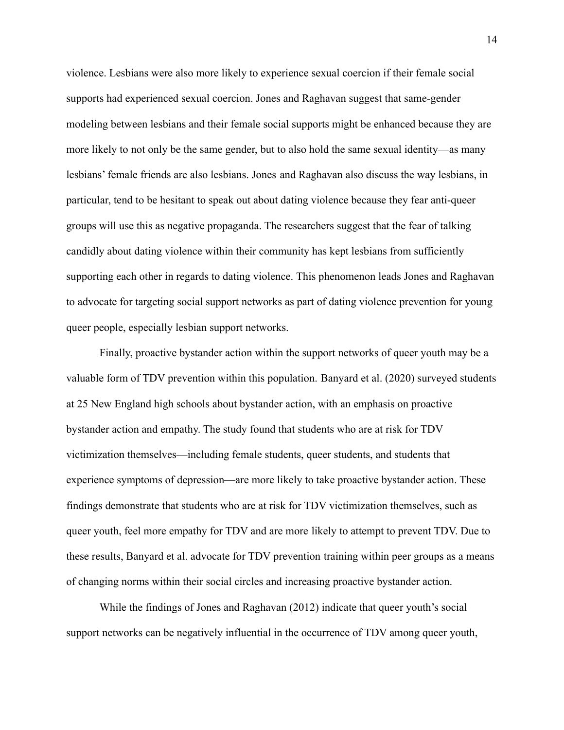violence. Lesbians were also more likely to experience sexual coercion if their female social supports had experienced sexual coercion. Jones and Raghavan suggest that same-gender modeling between lesbians and their female social supports might be enhanced because they are more likely to not only be the same gender, but to also hold the same sexual identity—as many lesbians' female friends are also lesbians. Jones and Raghavan also discuss the way lesbians, in particular, tend to be hesitant to speak out about dating violence because they fear anti-queer groups will use this as negative propaganda. The researchers suggest that the fear of talking candidly about dating violence within their community has kept lesbians from sufficiently supporting each other in regards to dating violence. This phenomenon leads Jones and Raghavan to advocate for targeting social support networks as part of dating violence prevention for young queer people, especially lesbian support networks.

Finally, proactive bystander action within the support networks of queer youth may be a valuable form of TDV prevention within this population. Banyard et al. (2020) surveyed students at 25 New England high schools about bystander action, with an emphasis on proactive bystander action and empathy. The study found that students who are at risk for TDV victimization themselves—including female students, queer students, and students that experience symptoms of depression—are more likely to take proactive bystander action. These findings demonstrate that students who are at risk for TDV victimization themselves, such as queer youth, feel more empathy for TDV and are more likely to attempt to prevent TDV. Due to these results, Banyard et al. advocate for TDV prevention training within peer groups as a means of changing norms within their social circles and increasing proactive bystander action.

While the findings of Jones and Raghavan (2012) indicate that queer youth's social support networks can be negatively influential in the occurrence of TDV among queer youth,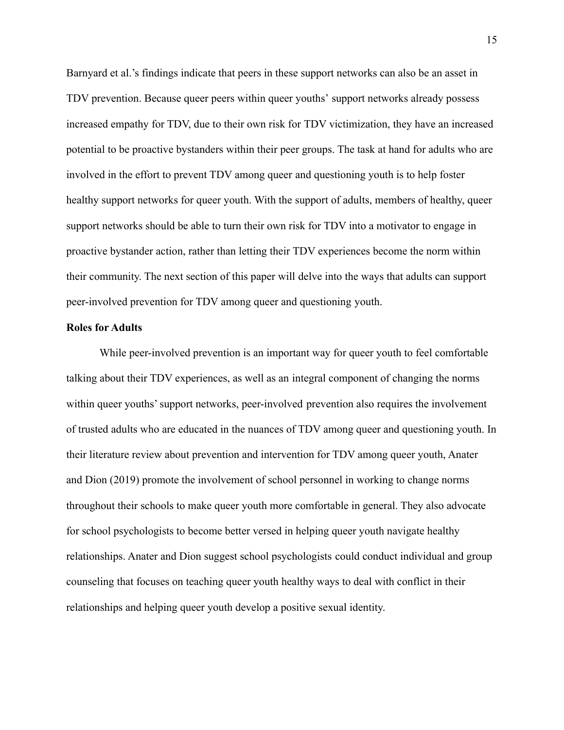Barnyard et al.'s findings indicate that peers in these support networks can also be an asset in TDV prevention. Because queer peers within queer youths' support networks already possess increased empathy for TDV, due to their own risk for TDV victimization, they have an increased potential to be proactive bystanders within their peer groups. The task at hand for adults who are involved in the effort to prevent TDV among queer and questioning youth is to help foster healthy support networks for queer youth. With the support of adults, members of healthy, queer support networks should be able to turn their own risk for TDV into a motivator to engage in proactive bystander action, rather than letting their TDV experiences become the norm within their community. The next section of this paper will delve into the ways that adults can support peer-involved prevention for TDV among queer and questioning youth.

#### **Roles for Adults**

While peer-involved prevention is an important way for queer youth to feel comfortable talking about their TDV experiences, as well as an integral component of changing the norms within queer youths' support networks, peer-involved prevention also requires the involvement of trusted adults who are educated in the nuances of TDV among queer and questioning youth. In their literature review about prevention and intervention for TDV among queer youth, Anater and Dion (2019) promote the involvement of school personnel in working to change norms throughout their schools to make queer youth more comfortable in general. They also advocate for school psychologists to become better versed in helping queer youth navigate healthy relationships. Anater and Dion suggest school psychologists could conduct individual and group counseling that focuses on teaching queer youth healthy ways to deal with conflict in their relationships and helping queer youth develop a positive sexual identity.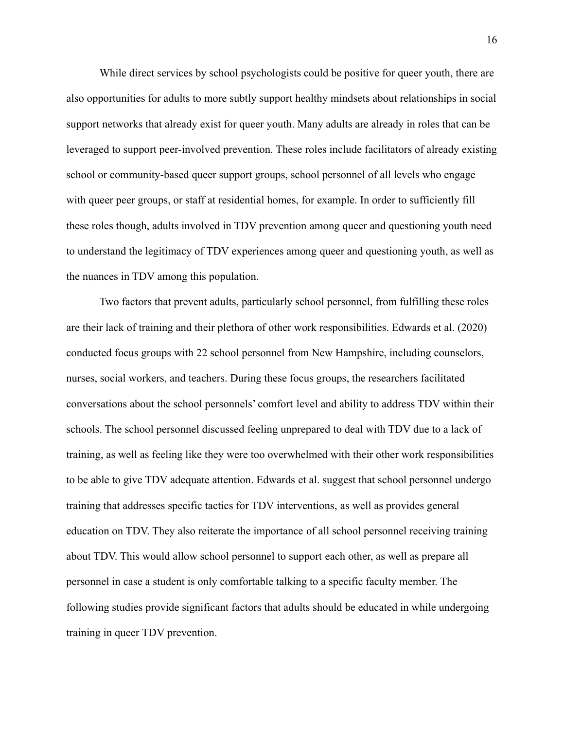While direct services by school psychologists could be positive for queer youth, there are also opportunities for adults to more subtly support healthy mindsets about relationships in social support networks that already exist for queer youth. Many adults are already in roles that can be leveraged to support peer-involved prevention. These roles include facilitators of already existing school or community-based queer support groups, school personnel of all levels who engage with queer peer groups, or staff at residential homes, for example. In order to sufficiently fill these roles though, adults involved in TDV prevention among queer and questioning youth need to understand the legitimacy of TDV experiences among queer and questioning youth, as well as the nuances in TDV among this population.

Two factors that prevent adults, particularly school personnel, from fulfilling these roles are their lack of training and their plethora of other work responsibilities. Edwards et al. (2020) conducted focus groups with 22 school personnel from New Hampshire, including counselors, nurses, social workers, and teachers. During these focus groups, the researchers facilitated conversations about the school personnels' comfort level and ability to address TDV within their schools. The school personnel discussed feeling unprepared to deal with TDV due to a lack of training, as well as feeling like they were too overwhelmed with their other work responsibilities to be able to give TDV adequate attention. Edwards et al. suggest that school personnel undergo training that addresses specific tactics for TDV interventions, as well as provides general education on TDV. They also reiterate the importance of all school personnel receiving training about TDV. This would allow school personnel to support each other, as well as prepare all personnel in case a student is only comfortable talking to a specific faculty member. The following studies provide significant factors that adults should be educated in while undergoing training in queer TDV prevention.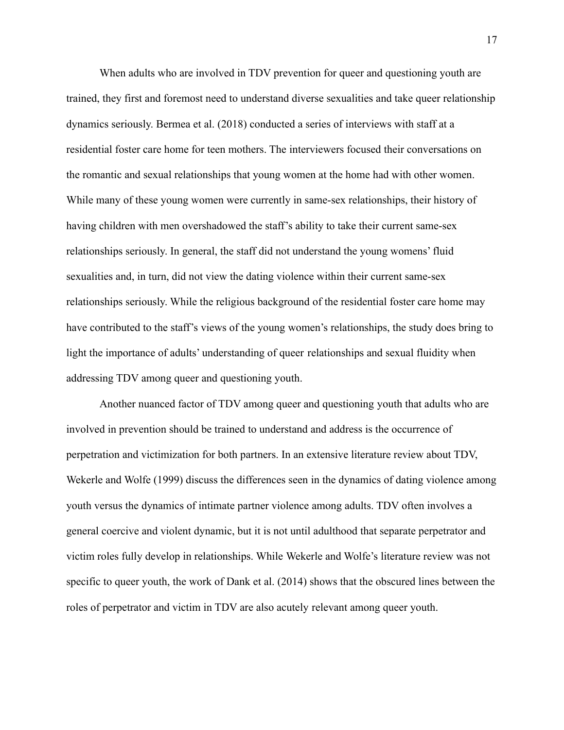When adults who are involved in TDV prevention for queer and questioning youth are trained, they first and foremost need to understand diverse sexualities and take queer relationship dynamics seriously. Bermea et al. (2018) conducted a series of interviews with staff at a residential foster care home for teen mothers. The interviewers focused their conversations on the romantic and sexual relationships that young women at the home had with other women. While many of these young women were currently in same-sex relationships, their history of having children with men overshadowed the staff's ability to take their current same-sex relationships seriously. In general, the staff did not understand the young womens' fluid sexualities and, in turn, did not view the dating violence within their current same-sex relationships seriously. While the religious background of the residential foster care home may have contributed to the staff's views of the young women's relationships, the study does bring to light the importance of adults' understanding of queer relationships and sexual fluidity when addressing TDV among queer and questioning youth.

Another nuanced factor of TDV among queer and questioning youth that adults who are involved in prevention should be trained to understand and address is the occurrence of perpetration and victimization for both partners. In an extensive literature review about TDV, Wekerle and Wolfe (1999) discuss the differences seen in the dynamics of dating violence among youth versus the dynamics of intimate partner violence among adults. TDV often involves a general coercive and violent dynamic, but it is not until adulthood that separate perpetrator and victim roles fully develop in relationships. While Wekerle and Wolfe's literature review was not specific to queer youth, the work of Dank et al. (2014) shows that the obscured lines between the roles of perpetrator and victim in TDV are also acutely relevant among queer youth.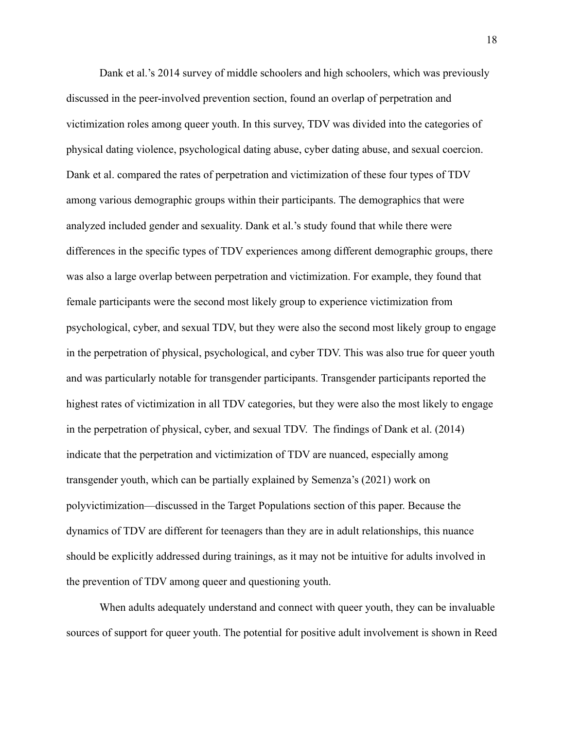Dank et al.'s 2014 survey of middle schoolers and high schoolers, which was previously discussed in the peer-involved prevention section, found an overlap of perpetration and victimization roles among queer youth. In this survey, TDV was divided into the categories of physical dating violence, psychological dating abuse, cyber dating abuse, and sexual coercion. Dank et al. compared the rates of perpetration and victimization of these four types of TDV among various demographic groups within their participants. The demographics that were analyzed included gender and sexuality. Dank et al.'s study found that while there were differences in the specific types of TDV experiences among different demographic groups, there was also a large overlap between perpetration and victimization. For example, they found that female participants were the second most likely group to experience victimization from psychological, cyber, and sexual TDV, but they were also the second most likely group to engage in the perpetration of physical, psychological, and cyber TDV. This was also true for queer youth and was particularly notable for transgender participants. Transgender participants reported the highest rates of victimization in all TDV categories, but they were also the most likely to engage in the perpetration of physical, cyber, and sexual TDV. The findings of Dank et al. (2014) indicate that the perpetration and victimization of TDV are nuanced, especially among transgender youth, which can be partially explained by Semenza's (2021) work on polyvictimization—discussed in the Target Populations section of this paper. Because the dynamics of TDV are different for teenagers than they are in adult relationships, this nuance should be explicitly addressed during trainings, as it may not be intuitive for adults involved in the prevention of TDV among queer and questioning youth.

When adults adequately understand and connect with queer youth, they can be invaluable sources of support for queer youth. The potential for positive adult involvement is shown in Reed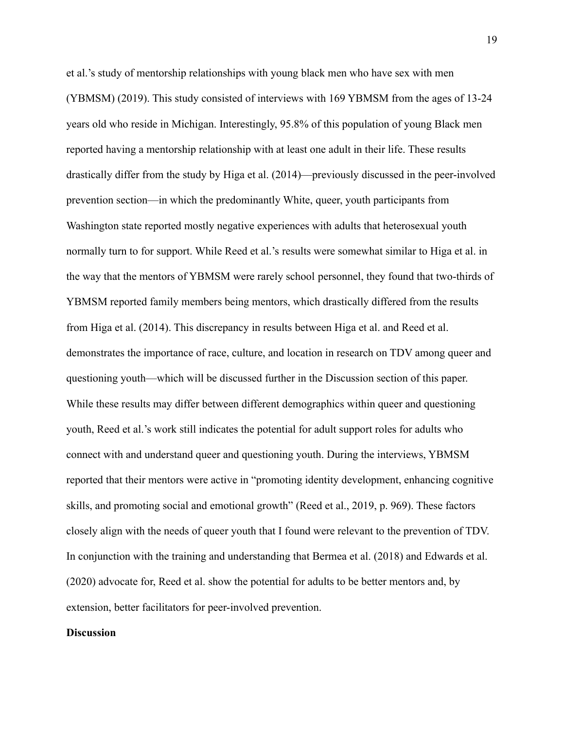et al.'s study of mentorship relationships with young black men who have sex with men (YBMSM) (2019). This study consisted of interviews with 169 YBMSM from the ages of 13-24 years old who reside in Michigan. Interestingly, 95.8% of this population of young Black men reported having a mentorship relationship with at least one adult in their life. These results drastically differ from the study by Higa et al. (2014)—previously discussed in the peer-involved prevention section—in which the predominantly White, queer, youth participants from Washington state reported mostly negative experiences with adults that heterosexual youth normally turn to for support. While Reed et al.'s results were somewhat similar to Higa et al. in the way that the mentors of YBMSM were rarely school personnel, they found that two-thirds of YBMSM reported family members being mentors, which drastically differed from the results from Higa et al. (2014). This discrepancy in results between Higa et al. and Reed et al. demonstrates the importance of race, culture, and location in research on TDV among queer and questioning youth—which will be discussed further in the Discussion section of this paper. While these results may differ between different demographics within queer and questioning youth, Reed et al.'s work still indicates the potential for adult support roles for adults who connect with and understand queer and questioning youth. During the interviews, YBMSM reported that their mentors were active in "promoting identity development, enhancing cognitive skills, and promoting social and emotional growth" (Reed et al., 2019, p. 969). These factors closely align with the needs of queer youth that I found were relevant to the prevention of TDV. In conjunction with the training and understanding that Bermea et al. (2018) and Edwards et al. (2020) advocate for, Reed et al. show the potential for adults to be better mentors and, by extension, better facilitators for peer-involved prevention.

#### **Discussion**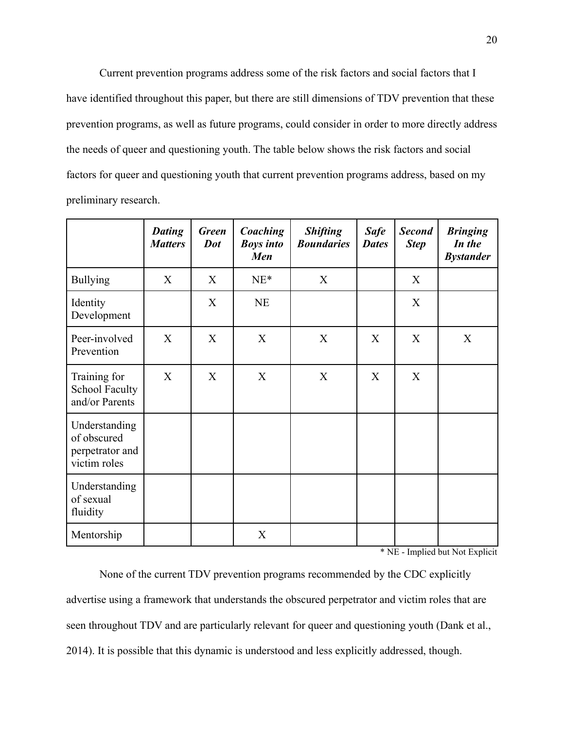Current prevention programs address some of the risk factors and social factors that I have identified throughout this paper, but there are still dimensions of TDV prevention that these prevention programs, as well as future programs, could consider in order to more directly address the needs of queer and questioning youth. The table below shows the risk factors and social factors for queer and questioning youth that current prevention programs address, based on my preliminary research.

|                                                                 | <b>Dating</b><br><b>Matters</b> | <b>Green</b><br>Dot | Coaching<br><b>Boys into</b><br>Men | <b>Shifting</b><br><b>Boundaries</b> | <b>Safe</b><br><b>Dates</b> | <b>Second</b><br><b>Step</b> | <b>Bringing</b><br>In the<br><b>Bystander</b> |
|-----------------------------------------------------------------|---------------------------------|---------------------|-------------------------------------|--------------------------------------|-----------------------------|------------------------------|-----------------------------------------------|
| <b>Bullying</b>                                                 | X                               | X                   | $NE^*$                              | X                                    |                             | X                            |                                               |
| Identity<br>Development                                         |                                 | X                   | NE                                  |                                      |                             | X                            |                                               |
| Peer-involved<br>Prevention                                     | X                               | X                   | X                                   | X                                    | X                           | X                            | X                                             |
| Training for<br><b>School Faculty</b><br>and/or Parents         | X                               | X                   | X                                   | X                                    | X                           | X                            |                                               |
| Understanding<br>of obscured<br>perpetrator and<br>victim roles |                                 |                     |                                     |                                      |                             |                              |                                               |
| Understanding<br>of sexual<br>fluidity                          |                                 |                     |                                     |                                      |                             |                              |                                               |
| Mentorship                                                      |                                 |                     | X                                   |                                      |                             |                              |                                               |

\* NE - Implied but Not Explicit

None of the current TDV prevention programs recommended by the CDC explicitly advertise using a framework that understands the obscured perpetrator and victim roles that are seen throughout TDV and are particularly relevant for queer and questioning youth (Dank et al., 2014). It is possible that this dynamic is understood and less explicitly addressed, though.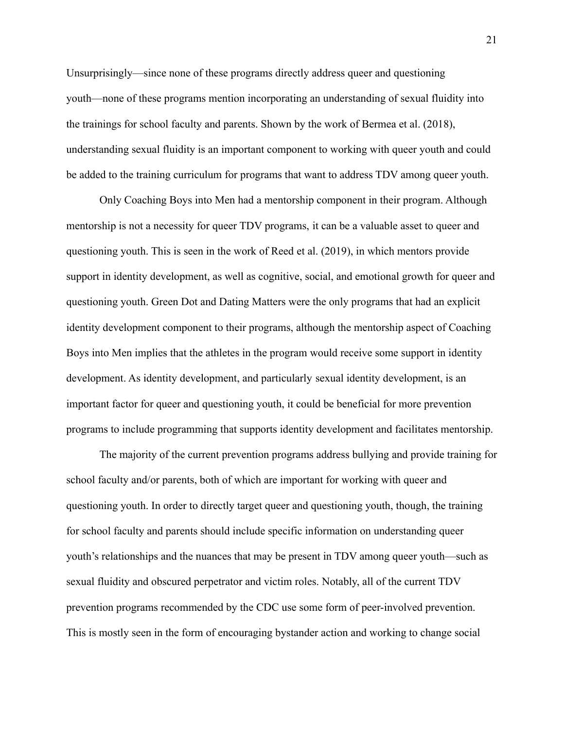Unsurprisingly—since none of these programs directly address queer and questioning youth—none of these programs mention incorporating an understanding of sexual fluidity into the trainings for school faculty and parents. Shown by the work of Bermea et al. (2018), understanding sexual fluidity is an important component to working with queer youth and could be added to the training curriculum for programs that want to address TDV among queer youth.

Only Coaching Boys into Men had a mentorship component in their program. Although mentorship is not a necessity for queer TDV programs, it can be a valuable asset to queer and questioning youth. This is seen in the work of Reed et al. (2019), in which mentors provide support in identity development, as well as cognitive, social, and emotional growth for queer and questioning youth. Green Dot and Dating Matters were the only programs that had an explicit identity development component to their programs, although the mentorship aspect of Coaching Boys into Men implies that the athletes in the program would receive some support in identity development. As identity development, and particularly sexual identity development, is an important factor for queer and questioning youth, it could be beneficial for more prevention programs to include programming that supports identity development and facilitates mentorship.

The majority of the current prevention programs address bullying and provide training for school faculty and/or parents, both of which are important for working with queer and questioning youth. In order to directly target queer and questioning youth, though, the training for school faculty and parents should include specific information on understanding queer youth's relationships and the nuances that may be present in TDV among queer youth—such as sexual fluidity and obscured perpetrator and victim roles. Notably, all of the current TDV prevention programs recommended by the CDC use some form of peer-involved prevention. This is mostly seen in the form of encouraging bystander action and working to change social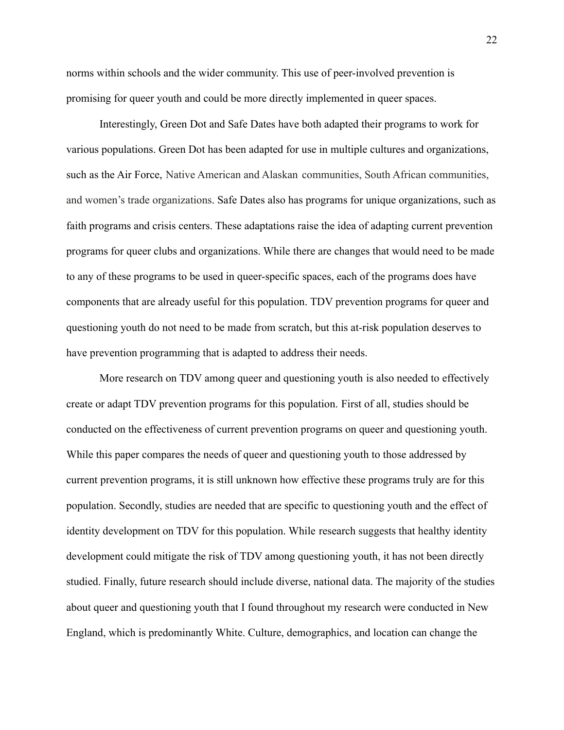norms within schools and the wider community. This use of peer-involved prevention is promising for queer youth and could be more directly implemented in queer spaces.

Interestingly, Green Dot and Safe Dates have both adapted their programs to work for various populations. Green Dot has been adapted for use in multiple cultures and organizations, such as the Air Force, Native American and Alaskan communities, South African communities, and women's trade organizations. Safe Dates also has programs for unique organizations, such as faith programs and crisis centers. These adaptations raise the idea of adapting current prevention programs for queer clubs and organizations. While there are changes that would need to be made to any of these programs to be used in queer-specific spaces, each of the programs does have components that are already useful for this population. TDV prevention programs for queer and questioning youth do not need to be made from scratch, but this at-risk population deserves to have prevention programming that is adapted to address their needs.

More research on TDV among queer and questioning youth is also needed to effectively create or adapt TDV prevention programs for this population. First of all, studies should be conducted on the effectiveness of current prevention programs on queer and questioning youth. While this paper compares the needs of queer and questioning youth to those addressed by current prevention programs, it is still unknown how effective these programs truly are for this population. Secondly, studies are needed that are specific to questioning youth and the effect of identity development on TDV for this population. While research suggests that healthy identity development could mitigate the risk of TDV among questioning youth, it has not been directly studied. Finally, future research should include diverse, national data. The majority of the studies about queer and questioning youth that I found throughout my research were conducted in New England, which is predominantly White. Culture, demographics, and location can change the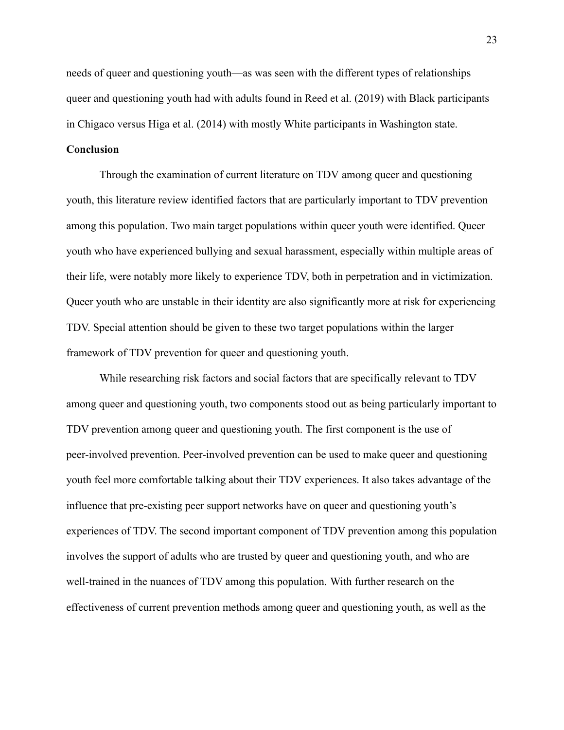needs of queer and questioning youth—as was seen with the different types of relationships queer and questioning youth had with adults found in Reed et al. (2019) with Black participants in Chigaco versus Higa et al. (2014) with mostly White participants in Washington state.

# **Conclusion**

Through the examination of current literature on TDV among queer and questioning youth, this literature review identified factors that are particularly important to TDV prevention among this population. Two main target populations within queer youth were identified. Queer youth who have experienced bullying and sexual harassment, especially within multiple areas of their life, were notably more likely to experience TDV, both in perpetration and in victimization. Queer youth who are unstable in their identity are also significantly more at risk for experiencing TDV. Special attention should be given to these two target populations within the larger framework of TDV prevention for queer and questioning youth.

While researching risk factors and social factors that are specifically relevant to TDV among queer and questioning youth, two components stood out as being particularly important to TDV prevention among queer and questioning youth. The first component is the use of peer-involved prevention. Peer-involved prevention can be used to make queer and questioning youth feel more comfortable talking about their TDV experiences. It also takes advantage of the influence that pre-existing peer support networks have on queer and questioning youth's experiences of TDV. The second important component of TDV prevention among this population involves the support of adults who are trusted by queer and questioning youth, and who are well-trained in the nuances of TDV among this population. With further research on the effectiveness of current prevention methods among queer and questioning youth, as well as the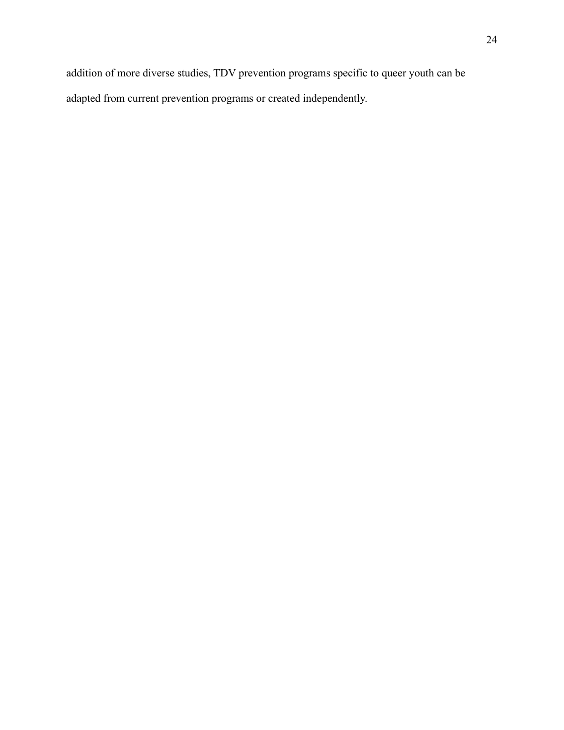addition of more diverse studies, TDV prevention programs specific to queer youth can be adapted from current prevention programs or created independently.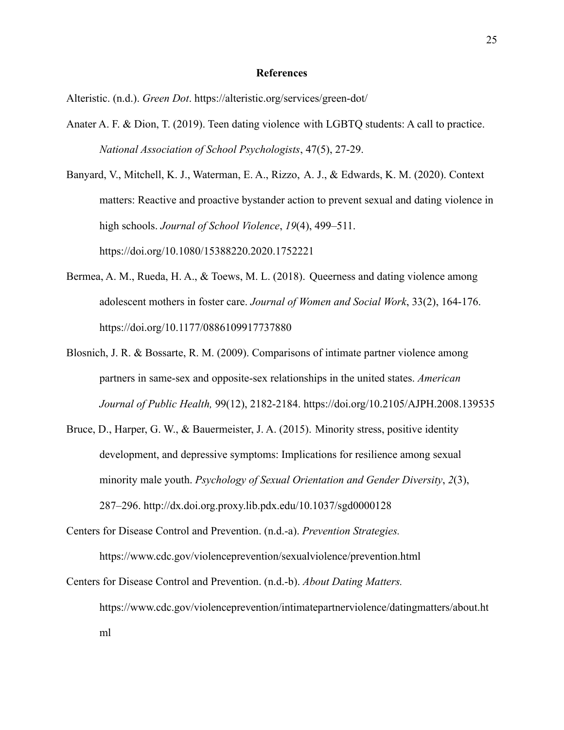#### **References**

Alteristic. (n.d.). *Green Dot*. https://alteristic.org/services/green-dot/

Anater A. F. & Dion, T. (2019). Teen dating violence with LGBTQ students: A call to practice. *National Association of School Psychologists*, 47(5), 27-29.

Banyard, V., Mitchell, K. J., Waterman, E. A., Rizzo, A. J., & Edwards, K. M. (2020). Context matters: Reactive and proactive bystander action to prevent sexual and dating violence in high schools. *Journal of School Violence*, *19*(4), 499–511. https://doi.org/10.1080/15388220.2020.1752221

- Bermea, A. M., Rueda, H. A., & Toews, M. L. (2018). Queerness and dating violence among adolescent mothers in foster care. *Journal of Women and Social Work*, 33(2), 164-176. https://doi.org/10.1177/0886109917737880
- Blosnich, J. R. & Bossarte, R. M. (2009). Comparisons of intimate partner violence among partners in same-sex and opposite-sex relationships in the united states. *American Journal of Public Health,* 99(12), 2182-2184. https://doi.org/10.2105/AJPH.2008.139535
- Bruce, D., Harper, G. W., & Bauermeister, J. A. (2015). Minority stress, positive identity development, and depressive symptoms: Implications for resilience among sexual minority male youth. *Psychology of Sexual Orientation and Gender Diversity*, *2*(3), 287–296. http://dx.doi.org.proxy.lib.pdx.edu/10.1037/sgd0000128

Centers for Disease Control and Prevention. (n.d.-a). *Prevention Strategies.* https://www.cdc.gov/violenceprevention/sexualviolence/prevention.html

Centers for Disease Control and Prevention. (n.d.-b). *About Dating Matters.* https://www.cdc.gov/violenceprevention/intimatepartnerviolence/datingmatters/about.ht ml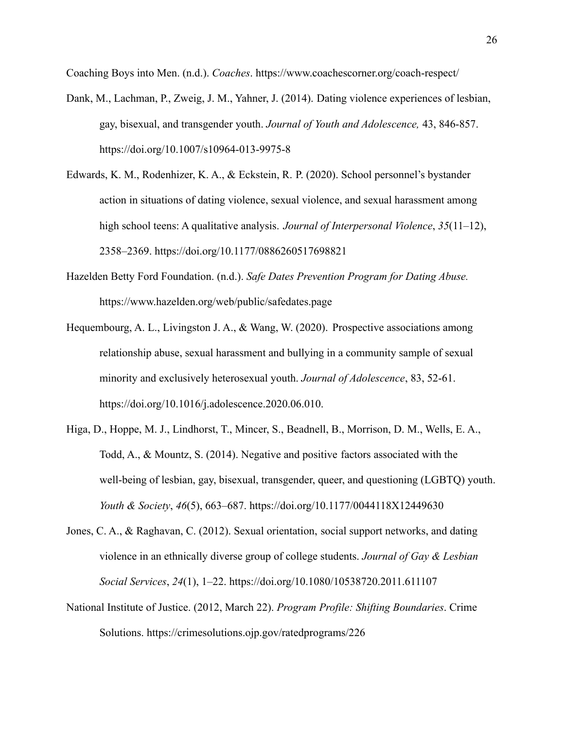Coaching Boys into Men. (n.d.). *Coaches*. https://www.coachescorner.org/coach-respect/

- Dank, M., Lachman, P., Zweig, J. M., Yahner, J. (2014). Dating violence experiences of lesbian, gay, bisexual, and transgender youth. *Journal of Youth and Adolescence,* 43, 846-857. https://doi.org/10.1007/s10964-013-9975-8
- Edwards, K. M., Rodenhizer, K. A., & Eckstein, R. P. (2020). School personnel's bystander action in situations of dating violence, sexual violence, and sexual harassment among high school teens: A qualitative analysis. *Journal of Interpersonal Violence*, *35*(11–12), 2358–2369. https://doi.org/10.1177/0886260517698821
- Hazelden Betty Ford Foundation. (n.d.). *Safe Dates Prevention Program for Dating Abuse.* https://www.hazelden.org/web/public/safedates.page
- Hequembourg, A. L., Livingston J. A., & Wang, W. (2020). Prospective associations among relationship abuse, sexual harassment and bullying in a community sample of sexual minority and exclusively heterosexual youth. *Journal of Adolescence*, 83, 52-61. https://doi.org/10.1016/j.adolescence.2020.06.010.
- Higa, D., Hoppe, M. J., Lindhorst, T., Mincer, S., Beadnell, B., Morrison, D. M., Wells, E. A., Todd, A., & Mountz, S. (2014). Negative and positive factors associated with the well-being of lesbian, gay, bisexual, transgender, queer, and questioning (LGBTQ) youth. *Youth & Society*, *46*(5), 663–687. https://doi.org/10.1177/0044118X12449630
- Jones, C. A., & Raghavan, C. (2012). Sexual orientation, social support networks, and dating violence in an ethnically diverse group of college students. *Journal of Gay & Lesbian Social Services*, *24*(1), 1–22. https://doi.org/10.1080/10538720.2011.611107
- National Institute of Justice. (2012, March 22). *Program Profile: Shifting Boundaries*. Crime Solutions. https://crimesolutions.ojp.gov/ratedprograms/226